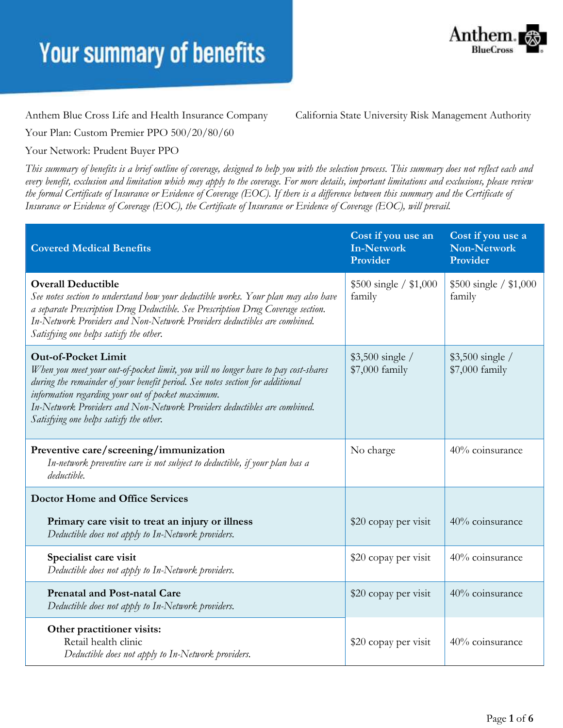

Anthem Blue Cross Life and Health Insurance Company California State University Risk Management Authority

Your Plan: Custom Premier PPO 500/20/80/60

#### Your Network: Prudent Buyer PPO

*This summary of benefits is a brief outline of coverage, designed to help you with the selection process. This summary does not reflect each and every benefit, exclusion and limitation which may apply to the coverage. For more details, important limitations and exclusions, please review the formal Certificate of Insurance or Evidence of Coverage (EOC). If there is a difference between this summary and the Certificate of Insurance or Evidence of Coverage (EOC), the Certificate of Insurance or Evidence of Coverage (EOC), will prevail.*

| <b>Covered Medical Benefits</b>                                                                                                                                                                                                                                                                                                                                               | Cost if you use an<br><b>In-Network</b><br>Provider | Cost if you use a<br><b>Non-Network</b><br>Provider |
|-------------------------------------------------------------------------------------------------------------------------------------------------------------------------------------------------------------------------------------------------------------------------------------------------------------------------------------------------------------------------------|-----------------------------------------------------|-----------------------------------------------------|
| <b>Overall Deductible</b><br>See notes section to understand how your deductible works. Your plan may also have<br>a separate Prescription Drug Deductible. See Prescription Drug Coverage section.<br>In-Network Providers and Non-Network Providers deductibles are combined.<br>Satisfying one helps satisfy the other.                                                    | $$500 \text{ single} / $1,000$<br>family            | $$500 \text{ single} / $1,000$<br>family            |
| <b>Out-of-Pocket Limit</b><br>When you meet your out-of-pocket limit, you will no longer have to pay cost-shares<br>during the remainder of your benefit period. See notes section for additional<br>information regarding your out of pocket maximum.<br>In-Network Providers and Non-Network Providers deductibles are combined.<br>Satisfying one helps satisfy the other. | $$3,500$ single /<br>\$7,000 family                 | $$3,500$ single /<br>\$7,000 family                 |
| Preventive care/screening/immunization<br>In-network preventive care is not subject to deductible, if your plan has a<br>deductible.                                                                                                                                                                                                                                          | No charge                                           | 40% coinsurance                                     |
| <b>Doctor Home and Office Services</b>                                                                                                                                                                                                                                                                                                                                        |                                                     |                                                     |
| Primary care visit to treat an injury or illness<br>Deductible does not apply to In-Network providers.                                                                                                                                                                                                                                                                        | \$20 copay per visit                                | 40% coinsurance                                     |
| Specialist care visit<br>Deductible does not apply to In-Network providers.                                                                                                                                                                                                                                                                                                   | \$20 copay per visit                                | 40% coinsurance                                     |
| <b>Prenatal and Post-natal Care</b><br>Deductible does not apply to In-Network providers.                                                                                                                                                                                                                                                                                     | \$20 copay per visit                                | 40% coinsurance                                     |
| Other practitioner visits:<br>Retail health clinic<br>Deductible does not apply to In-Network providers.                                                                                                                                                                                                                                                                      | \$20 copay per visit                                | 40% coinsurance                                     |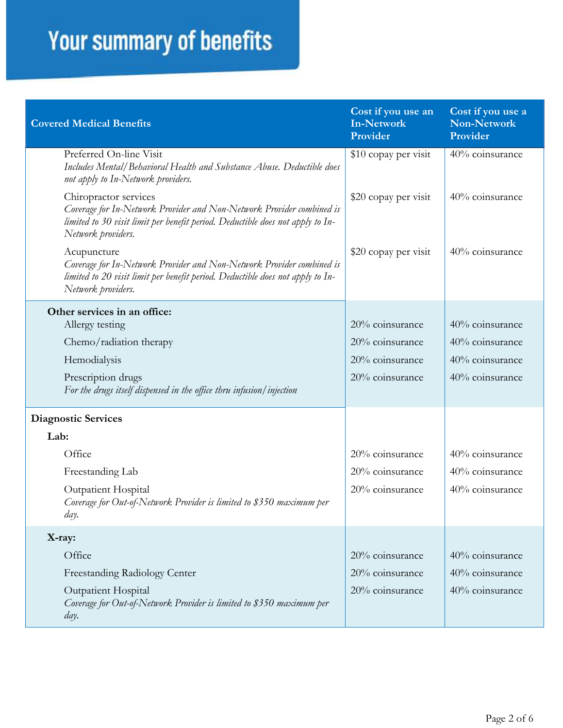| <b>Covered Medical Benefits</b>                                                                                                                                                                        | Cost if you use an<br><b>In-Network</b><br>Provider | Cost if you use a<br>Non-Network<br>Provider |
|--------------------------------------------------------------------------------------------------------------------------------------------------------------------------------------------------------|-----------------------------------------------------|----------------------------------------------|
| Preferred On-line Visit<br>Includes Mental/Behavioral Health and Substance Abuse. Deductible does<br>not apply to In-Network providers.                                                                | \$10 copay per visit                                | 40% coinsurance                              |
| Chiropractor services<br>Coverage for In-Network Provider and Non-Network Provider combined is<br>limited to 30 visit limit per benefit period. Deductible does not apply to In-<br>Network providers. | \$20 copay per visit                                | 40% coinsurance                              |
| Acupuncture<br>Coverage for In-Network Provider and Non-Network Provider combined is<br>limited to 20 visit limit per benefit period. Deductible does not apply to In-<br>Network providers.           | \$20 copay per visit                                | 40% coinsurance                              |
| Other services in an office:                                                                                                                                                                           |                                                     |                                              |
| Allergy testing                                                                                                                                                                                        | 20% coinsurance                                     | 40% coinsurance                              |
| Chemo/radiation therapy                                                                                                                                                                                | 20% coinsurance                                     | 40% coinsurance                              |
| Hemodialysis                                                                                                                                                                                           | 20% coinsurance                                     | 40% coinsurance                              |
| Prescription drugs<br>For the drugs itself dispensed in the office thru infusion/injection                                                                                                             | 20% coinsurance                                     | 40% coinsurance                              |
| <b>Diagnostic Services</b>                                                                                                                                                                             |                                                     |                                              |
| Lab:                                                                                                                                                                                                   |                                                     |                                              |
| Office                                                                                                                                                                                                 | 20% coinsurance                                     | 40% coinsurance                              |
| Freestanding Lab                                                                                                                                                                                       | 20% coinsurance                                     | 40% coinsurance                              |
| <b>Outpatient Hospital</b><br>Coverage for Out-of-Network Provider is limited to \$350 maximum per<br>day.                                                                                             | 20% coinsurance                                     | 40% coinsurance                              |
| X-ray:                                                                                                                                                                                                 |                                                     |                                              |
| Office                                                                                                                                                                                                 | 20% coinsurance                                     | 40% coinsurance                              |
| Freestanding Radiology Center                                                                                                                                                                          | 20% coinsurance                                     | 40% coinsurance                              |
| <b>Outpatient Hospital</b><br>Coverage for Out-of-Network Provider is limited to \$350 maximum per<br>day.                                                                                             | 20% coinsurance                                     | 40% coinsurance                              |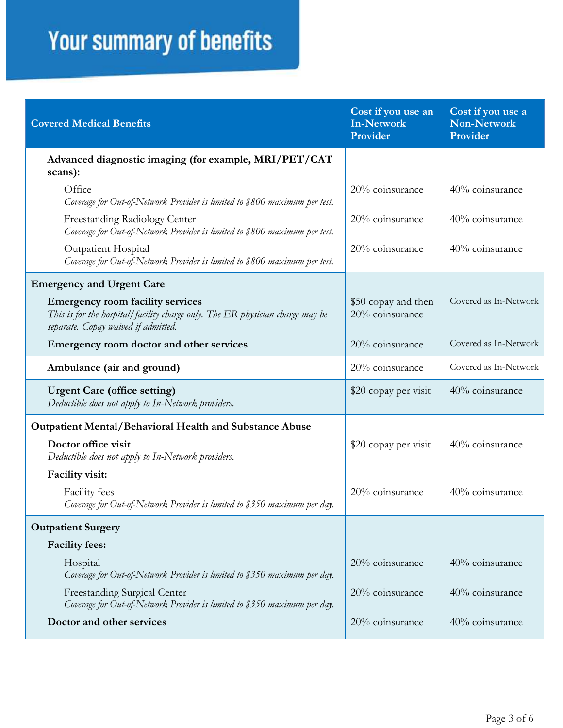| <b>Covered Medical Benefits</b>                                                                                                                                 | Cost if you use an<br><b>In-Network</b><br>Provider | Cost if you use a<br><b>Non-Network</b><br>Provider |
|-----------------------------------------------------------------------------------------------------------------------------------------------------------------|-----------------------------------------------------|-----------------------------------------------------|
| Advanced diagnostic imaging (for example, MRI/PET/CAT<br>scans):                                                                                                |                                                     |                                                     |
| Office<br>Coverage for Out-of-Network Provider is limited to \$800 maximum per test.                                                                            | 20% coinsurance                                     | 40% coinsurance                                     |
| Freestanding Radiology Center<br>Coverage for Out-of-Network Provider is limited to \$800 maximum per test.                                                     | $20\%$ coinsurance                                  | 40% coinsurance                                     |
| Outpatient Hospital<br>Coverage for Out-of-Network Provider is limited to \$800 maximum per test.                                                               | 20% coinsurance                                     | 40% coinsurance                                     |
| <b>Emergency and Urgent Care</b>                                                                                                                                |                                                     |                                                     |
| <b>Emergency room facility services</b><br>This is for the hospital/facility charge only. The ER physician charge may be<br>separate. Copay waived if admitted. | \$50 copay and then<br>20% coinsurance              | Covered as In-Network                               |
| Emergency room doctor and other services                                                                                                                        | 20% coinsurance                                     | Covered as In-Network                               |
| Ambulance (air and ground)                                                                                                                                      | 20% coinsurance                                     | Covered as In-Network                               |
| <b>Urgent Care (office setting)</b><br>Deductible does not apply to In-Network providers.                                                                       | \$20 copay per visit                                | 40% coinsurance                                     |
| <b>Outpatient Mental/Behavioral Health and Substance Abuse</b>                                                                                                  |                                                     |                                                     |
| Doctor office visit<br>Deductible does not apply to In-Network providers.                                                                                       | \$20 copay per visit                                | 40% coinsurance                                     |
| Facility visit:                                                                                                                                                 |                                                     |                                                     |
| Facility fees<br>Coverage for Out-of-Network Provider is limited to \$350 maximum per day.                                                                      | 20% coinsurance                                     | 40% coinsurance                                     |
| <b>Outpatient Surgery</b>                                                                                                                                       |                                                     |                                                     |
| <b>Facility fees:</b>                                                                                                                                           |                                                     |                                                     |
| Hospital<br>Coverage for Out-of-Network Provider is limited to \$350 maximum per day.                                                                           | 20% coinsurance                                     | 40% coinsurance                                     |
| Freestanding Surgical Center<br>Coverage for Out-of-Network Provider is limited to \$350 maximum per day.                                                       | 20% coinsurance                                     | 40% coinsurance                                     |
| Doctor and other services                                                                                                                                       | 20% coinsurance                                     | 40% coinsurance                                     |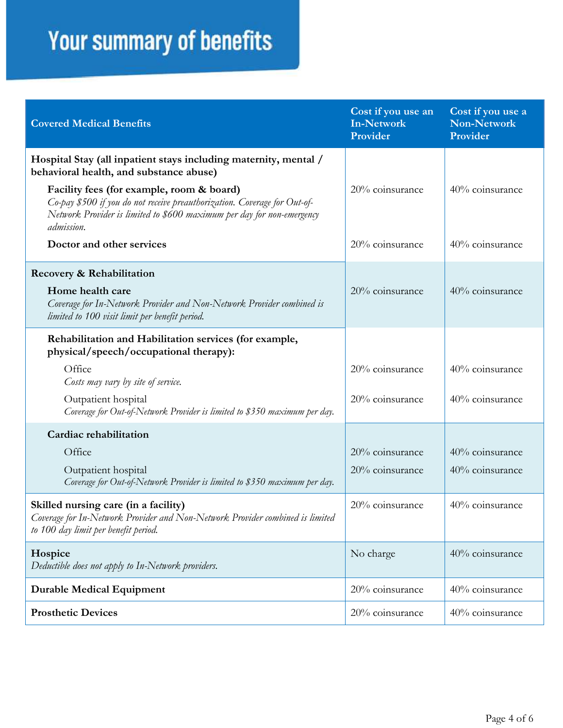| <b>Covered Medical Benefits</b>                                                                                                                                                                                | Cost if you use an<br><b>In-Network</b><br>Provider | Cost if you use a<br><b>Non-Network</b><br>Provider |
|----------------------------------------------------------------------------------------------------------------------------------------------------------------------------------------------------------------|-----------------------------------------------------|-----------------------------------------------------|
| Hospital Stay (all inpatient stays including maternity, mental /<br>behavioral health, and substance abuse)                                                                                                    |                                                     |                                                     |
| Facility fees (for example, room & board)<br>Co-pay \$500 if you do not receive preauthorization. Coverage for Out-of-<br>Network Provider is limited to \$600 maximum per day for non-emergency<br>admission. | 20% coinsurance                                     | 40% coinsurance                                     |
| Doctor and other services                                                                                                                                                                                      | 20% coinsurance                                     | 40% coinsurance                                     |
| Recovery & Rehabilitation                                                                                                                                                                                      |                                                     |                                                     |
| Home health care<br>Coverage for In-Network Provider and Non-Network Provider combined is<br>limited to 100 visit limit per benefit period.                                                                    | 20% coinsurance                                     | 40% coinsurance                                     |
| Rehabilitation and Habilitation services (for example,<br>physical/speech/occupational therapy):                                                                                                               |                                                     |                                                     |
| Office<br>Costs may vary by site of service.                                                                                                                                                                   | 20% coinsurance                                     | 40% coinsurance                                     |
| Outpatient hospital<br>Coverage for Out-of-Network Provider is limited to \$350 maximum per day.                                                                                                               | 20% coinsurance                                     | 40% coinsurance                                     |
| Cardiac rehabilitation                                                                                                                                                                                         |                                                     |                                                     |
| Office                                                                                                                                                                                                         | 20% coinsurance                                     | 40% coinsurance                                     |
| Outpatient hospital<br>Coverage for Out-of-Network Provider is limited to \$350 maximum per day.                                                                                                               | 20% coinsurance                                     | 40% coinsurance                                     |
| Skilled nursing care (in a facility)<br>Coverage for In-Network Provider and Non-Network Provider combined is limited<br>to 100 day limit per benefit period.                                                  | 20% coinsurance                                     | 40% coinsurance                                     |
| Hospice<br>Deductible does not apply to In-Network providers.                                                                                                                                                  | No charge                                           | 40% coinsurance                                     |
| <b>Durable Medical Equipment</b>                                                                                                                                                                               | 20% coinsurance                                     | 40% coinsurance                                     |
| <b>Prosthetic Devices</b>                                                                                                                                                                                      | 20% coinsurance                                     | 40% coinsurance                                     |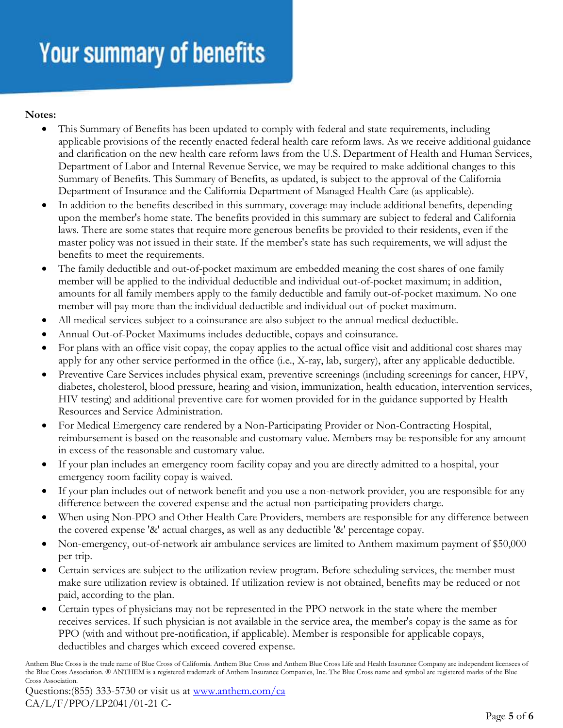#### **Notes:**

- This Summary of Benefits has been updated to comply with federal and state requirements, including applicable provisions of the recently enacted federal health care reform laws. As we receive additional guidance and clarification on the new health care reform laws from the U.S. Department of Health and Human Services, Department of Labor and Internal Revenue Service, we may be required to make additional changes to this Summary of Benefits. This Summary of Benefits, as updated, is subject to the approval of the California Department of Insurance and the California Department of Managed Health Care (as applicable).
- In addition to the benefits described in this summary, coverage may include additional benefits, depending upon the member's home state. The benefits provided in this summary are subject to federal and California laws. There are some states that require more generous benefits be provided to their residents, even if the master policy was not issued in their state. If the member's state has such requirements, we will adjust the benefits to meet the requirements.
- The family deductible and out-of-pocket maximum are embedded meaning the cost shares of one family member will be applied to the individual deductible and individual out-of-pocket maximum; in addition, amounts for all family members apply to the family deductible and family out-of-pocket maximum. No one member will pay more than the individual deductible and individual out-of-pocket maximum.
- All medical services subject to a coinsurance are also subject to the annual medical deductible.
- Annual Out-of-Pocket Maximums includes deductible, copays and coinsurance.
- For plans with an office visit copay, the copay applies to the actual office visit and additional cost shares may apply for any other service performed in the office (i.e., X-ray, lab, surgery), after any applicable deductible.
- Preventive Care Services includes physical exam, preventive screenings (including screenings for cancer, HPV, diabetes, cholesterol, blood pressure, hearing and vision, immunization, health education, intervention services, HIV testing) and additional preventive care for women provided for in the guidance supported by Health Resources and Service Administration.
- For Medical Emergency care rendered by a Non-Participating Provider or Non-Contracting Hospital, reimbursement is based on the reasonable and customary value. Members may be responsible for any amount in excess of the reasonable and customary value.
- If your plan includes an emergency room facility copay and you are directly admitted to a hospital, your emergency room facility copay is waived.
- If your plan includes out of network benefit and you use a non-network provider, you are responsible for any difference between the covered expense and the actual non-participating providers charge.
- When using Non-PPO and Other Health Care Providers, members are responsible for any difference between the covered expense '&' actual charges, as well as any deductible '&' percentage copay.
- Non-emergency, out-of-network air ambulance services are limited to Anthem maximum payment of \$50,000 per trip.
- Certain services are subject to the utilization review program. Before scheduling services, the member must make sure utilization review is obtained. If utilization review is not obtained, benefits may be reduced or not paid, according to the plan.
- Certain types of physicians may not be represented in the PPO network in the state where the member receives services. If such physician is not available in the service area, the member's copay is the same as for PPO (with and without pre-notification, if applicable). Member is responsible for applicable copays, deductibles and charges which exceed covered expense.

Anthem Blue Cross is the trade name of Blue Cross of California. Anthem Blue Cross and Anthem Blue Cross Life and Health Insurance Company are independent licensees of the Blue Cross Association. ® ANTHEM is a registered trademark of Anthem Insurance Companies, Inc. The Blue Cross name and symbol are registered marks of the Blue Cross Association.